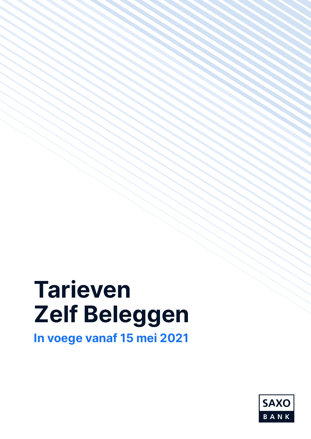# Tarieven Zelf Beleggen

In voege vanaf 15 mei 2021

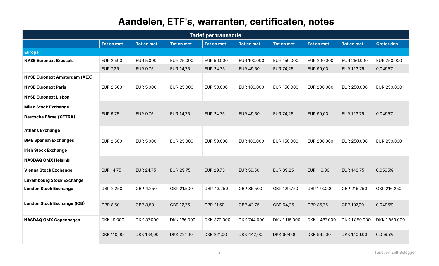# Aandelen, ETF's, warranten, certificaten, notes

|                                      |                   |                   |                   | <b>Tarief per transactie</b> |                  |                   |                   |               |                   |
|--------------------------------------|-------------------|-------------------|-------------------|------------------------------|------------------|-------------------|-------------------|---------------|-------------------|
|                                      | <b>Tot en met</b> | <b>Tot en met</b> | <b>Tot en met</b> | <b>Tot en met</b>            | Tot en met       | <b>Tot en met</b> | <b>Tot en met</b> | Tot en met    | <b>Groter dan</b> |
| <b>Europa</b>                        |                   |                   |                   |                              |                  |                   |                   |               |                   |
| <b>NYSE Euronext Brussels</b>        | <b>EUR 2.500</b>  | <b>EUR 5.000</b>  | EUR 25.000        | EUR 50.000                   | EUR 100.000      | EUR 150.000       | EUR 200,000       | EUR 250.000   | EUR 250.000       |
|                                      | <b>EUR 7,25</b>   | <b>EUR 9,75</b>   | EUR 14,75         | EUR 24,75                    | <b>EUR 49,50</b> | EUR 74,25         | EUR 99,00         | EUR 123,75    | 0,0495%           |
| <b>NYSE Euronext Amsterdam (AEX)</b> |                   |                   |                   |                              |                  |                   |                   |               |                   |
| <b>NYSE Euronext Paris</b>           | EUR 2.500         | <b>EUR 5.000</b>  | EUR 25.000        | EUR 50.000                   | EUR 100.000      | EUR 150.000       | EUR 200.000       | EUR 250.000   | EUR 250.000       |
| <b>NYSE Euronext Lisbon</b>          |                   |                   |                   |                              |                  |                   |                   |               |                   |
| <b>Milan Stock Exchange</b>          |                   |                   |                   |                              |                  |                   |                   |               |                   |
| Deutsche Börse (XETRA)               | <b>EUR 9,75</b>   | <b>EUR 9,75</b>   | EUR 14,75         | <b>EUR 24,75</b>             | EUR 49,50        | <b>EUR 74,25</b>  | EUR 99,00         | EUR 123,75    | 0,0495%           |
| <b>Athens Exchange</b>               |                   |                   |                   |                              |                  |                   |                   |               |                   |
| <b>BME Spanish Exchanges</b>         | EUR 2.500         | EUR 5.000         | EUR 25.000        | EUR 50.000                   | EUR 100.000      | EUR 150.000       | EUR 200.000       | EUR 250.000   | EUR 250.000       |
| <b>Irish Stock Exchange</b>          |                   |                   |                   |                              |                  |                   |                   |               |                   |
| <b>NASDAQ OMX Helsinki</b>           |                   |                   |                   |                              |                  |                   |                   |               |                   |
| <b>Vienna Stock Exchange</b>         | EUR 14,75         | <b>EUR 24,75</b>  | <b>EUR 29,75</b>  | EUR 29,75                    | EUR 59,50        | <b>EUR 89,25</b>  | EUR 119,00        | EUR 148,75    | 0,0595%           |
| <b>Luxembourg Stock Exchange</b>     |                   |                   |                   |                              |                  |                   |                   |               |                   |
| <b>London Stock Exchange</b>         | GBP 2.250         | GBP 4.250         | GBP 21.500        | GBP 43.250                   | GBP 86.500       | GBP 129.750       | GBP 173,000       | GBP 216.250   | GBP 216.250       |
| <b>London Stock Exchange (IOB)</b>   | GBP 8,50          | GBP 8,50          | GBP 12,75         | GBP 21,50                    | GBP 42,75        | GBP 64,25         | GBP 85,75         | GBP 107,00    | 0,0495%           |
| NASDAQ OMX Copenhagen                | DKK 19.000        | DKK 37.000        | DKK 186.000       | DKK 372.000                  | DKK 744.000      | DKK 1.115.000     | DKK 1.487.000     | DKK 1.859.000 | DKK 1.859.000     |
|                                      | DKK 110,00        | DKK 184,00        | DKK 221,00        | DKK 221,00                   | DKK 442,00       | DKK 664,00        | DKK 885,00        | DKK 1.106,00  | 0,0595%           |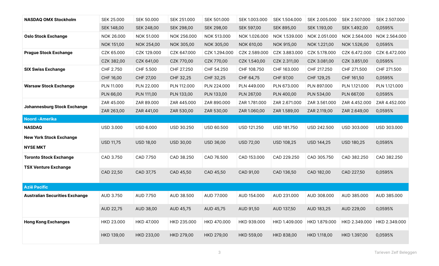| <b>NASDAQ OMX Stockholm</b>           | SEK 25.000        | <b>SEK 50.000</b> | SEK 251.000       | SEK 501.000       | SEK 1.003.000     | SEK 1.504.000     | SEK 2.005.000     | SEK 2.507.000     | SEK 2.507.000 |
|---------------------------------------|-------------------|-------------------|-------------------|-------------------|-------------------|-------------------|-------------------|-------------------|---------------|
|                                       | <b>SEK 148,00</b> | SEK 248,00        | <b>SEK 298,00</b> | SEK 298,00        | SEK 597,00        | SEK 895,00        | SEK 1.193,00      | SEK 1.492,00      | 0,0595%       |
| <b>Oslo Stock Exchange</b>            | NOK 26.000        | NOK 51.000        | NOK 256.000       | NOK 513.000       | NOK 1.026.000     | NOK 1.539.000     | NOK 2.051.000     | NOK 2.564.000     | NOK 2.564.000 |
|                                       | NOK 151,00        | NOK 254,00        | NOK 305,00        | NOK 305,00        | NOK 610,00        | NOK 915,00        | NOK 1.221,00      | NOK 1.526,00      | 0,0595%       |
| <b>Prague Stock Exchange</b>          | CZK 65.000        | CZK 129.000       | CZK 647.000       | CZK 1.294.000     | CZK 2.589.000     | CZK 3.883.000     | CZK 5.178.000     | CZK 6.472.000     | CZK 6.472.000 |
|                                       | CZK 382,00        | CZK 641,00        | CZK 770,00        | CZK 770,00        | CZK 1.540,00      | CZK 2.311,00      | CZK 3.081,00      | CZK 3.851,00      | 0,0595%       |
| <b>SIX Swiss Exchange</b>             | CHF 2.750         | CHF 5.500         | CHF 27.250        | CHF 54.250        | CHF 108.750       | CHF 163.000       | CHF 217.250       | CHF 271.500       | CHF 271.500   |
|                                       | CHF 16,00         | CHF 27,00         | CHF 32,25         | CHF 32,25         | CHF 64,75         | CHF 97,00         | CHF 129,25        | CHF 161,50        | 0,0595%       |
| <b>Warsaw Stock Exchange</b>          | PLN 11.000        | PLN 22.000        | PLN 112.000       | PLN 224.000       | PLN 449.000       | PLN 673.000       | PLN 897.000       | PLN 1.121.000     | PLN 1.121.000 |
|                                       | PLN 66,00         | PLN 111,00        | PLN 133,00        | PLN 133,00        | PLN 267,00        | PLN 400,00        | PLN 534,00        | PLN 667,00        | 0,0595%       |
| Johannesburg Stock Exchange           | ZAR 45.000        | ZAR 89.000        | ZAR 445.000       | ZAR 890.000       | ZAR 1.781.000     | ZAR 2.671.000     | ZAR 3.561.000     | ZAR 4.452.000     | ZAR 4.452.000 |
|                                       | ZAR 263,00        | ZAR 441,00        | ZAR 530,00        | ZAR 530,00        | ZAR 1.060,00      | ZAR 1.589,00      | ZAR 2.119,00      | ZAR 2.649,00      | 0,0595%       |
| Noord - Amerika                       |                   |                   |                   |                   |                   |                   |                   |                   |               |
| <b>NASDAQ</b>                         | <b>USD 3.000</b>  | <b>USD 6.000</b>  | USD 30.250        | <b>USD 60.500</b> | USD 121.250       | USD 181.750       | USD 242.500       | USD 303.000       | USD 303.000   |
| <b>New York Stock Exchange</b>        | <b>USD 11,75</b>  | <b>USD 18,00</b>  | <b>USD 30,00</b>  | <b>USD 36,00</b>  | <b>USD 72,00</b>  | <b>USD 108,25</b> | <b>USD 144,25</b> | <b>USD 180,25</b> | 0,0595%       |
| <b>NYSE MKT</b>                       |                   |                   |                   |                   |                   |                   |                   |                   |               |
| <b>Toronto Stock Exchange</b>         | CAD 3.750         | CAD 7.750         | CAD 38.250        | CAD 76.500        | CAD 153.000       | CAD 229.250       | CAD 305.750       | CAD 382.250       | CAD 382.250   |
| <b>TSX Venture Exchange</b>           |                   |                   |                   |                   |                   |                   |                   |                   |               |
|                                       | CAD 22,50         | CAD 37.75         | CAD 45,50         | CAD 45,50         | CAD 91,00         | CAD 136,50        | CAD 182,00        | CAD 227,50        | 0,0595%       |
| <b>Azië Pacific</b>                   |                   |                   |                   |                   |                   |                   |                   |                   |               |
| <b>Australian Securities Exchange</b> | AUD 3.750         | AUD 7.750         | AUD 38.500        | AUD 77.000        | AUD 154.000       | AUD 231.000       | AUD 308.000       | AUD 385.000       | AUD 385.000   |
|                                       | AUD 22,75         | AUD 38,00         | AUD 45,75         | AUD 45,75         | AUD 91,50         | AUD 137,50        | AUD 183,25        | AUD 229,00        | 0,0595%       |
| <b>Hong Kong Exchanges</b>            | HKD 23.000        | HKD 47.000        | HKD 235.000       | HKD 470.000       | HKD 939.000       | HKD 1.409.000     | HKD 1.879.000     | HKD 2.349.000     | HKD 2.349.000 |
|                                       | HKD 139,00        | HKD 233,00        | HKD 279,00        | <b>HKD 279,00</b> | <b>HKD 559,00</b> | HKD 838,00        | HKD 1.118,00      | HKD 1.397,00      | 0,0595%       |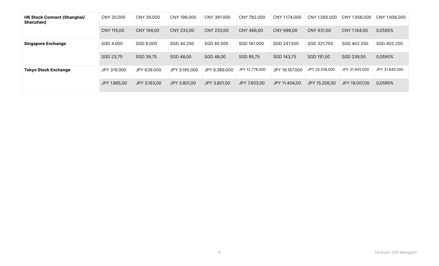| <b>HK Stock Connect (Shanghai/</b><br>Shenzhen) | CNY 20,000   | CNY 39,000   | CNY 196,000   | CNY 391,000   | CNY 782,000    | CNY 1.174,000  | CNY 1.565,000  | CNY 1.956,000  | CNY 1.956,000  |
|-------------------------------------------------|--------------|--------------|---------------|---------------|----------------|----------------|----------------|----------------|----------------|
|                                                 | CNY 115.00   | CNY 194.00   | CNY 233.00    | CNY 233.00    | CNY 466.00     | CNY 698.00     | CNY 931.00     | CNY 1.164.00   | 0,0595%        |
| <b>Singapore Exchange</b>                       | SGD 4.000    | SGD 8.000    | SGD 40.250    | SGD 80.500    | SGD 161,000    | SGD 241.500    | SGD 321.750    | SGD 402.250    | SGD 402.250    |
|                                                 | SGD 23,75    | SGD 39.75    | SGD 48.00     | SGD 48.00     | SGD 95.75      | SGD 143.75     | SGD 191.50     | SGD 239,50     | 0,0595%        |
| <b>Tokyo Stock Exchange</b>                     | JPY 319,000  | JPY 639,000  | JPY 3.195.000 | JPY 6.389.000 | JPY 12.778.000 | JPY 19.167.000 | JPY 25.556.000 | JPY 31,945,000 | JPY 31,945,000 |
|                                                 | JPY 1.885.00 | JPY 3.163.00 | JPY 3.801,00  | JPY 3.801.00  | JPY 7.603.00   | JPY 11.404,00  | JPY 15.206.00  | JPY 19.007.00  | 0,0595%        |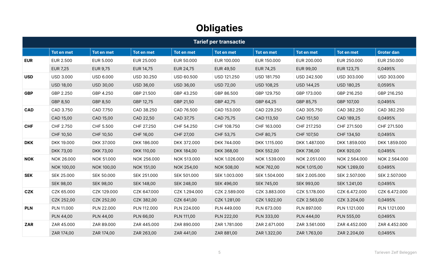# **Obligaties**

|            | <b>Tarief per transactie</b> |                   |                   |                   |                  |                   |                   |                   |                   |
|------------|------------------------------|-------------------|-------------------|-------------------|------------------|-------------------|-------------------|-------------------|-------------------|
|            | Tot en met                   | Tot en met        | Tot en met        | <b>Tot en met</b> | Tot en met       | Tot en met        | Tot en met        | Tot en met        | <b>Groter dan</b> |
| <b>EUR</b> | <b>EUR 2.500</b>             | EUR 5.000         | EUR 25.000        | EUR 50.000        | EUR 100.000      | EUR 150.000       | EUR 200.000       | EUR 250.000       | EUR 250.000       |
|            | <b>EUR 7,25</b>              | <b>EUR 9,75</b>   | EUR 14,75         | EUR 24,75         | EUR 49,50        | EUR 74,25         | EUR 99,00         | EUR 123,75        | 0,0495%           |
| <b>USD</b> | <b>USD 3.000</b>             | USD 6.000         | <b>USD 30.250</b> | <b>USD 60.500</b> | USD 121.250      | USD 181.750       | USD 242.500       | USD 303.000       | USD 303.000       |
|            | <b>USD 18,00</b>             | <b>USD 30,00</b>  | <b>USD 36,00</b>  | <b>USD 36,00</b>  | <b>USD 72,00</b> | <b>USD 108,25</b> | <b>USD 144,25</b> | <b>USD 180,25</b> | 0,0595%           |
| <b>GBP</b> | GBP 2.250                    | GBP 4.250         | GBP 21.500        | GBP 43.250        | GBP 86.500       | GBP 129.750       | GBP 173.000       | GBP 216.250       | GBP 216.250       |
|            | GBP 8,50                     | GBP 8,50          | GBP 12,75         | GBP 21,50         | GBP 42,75        | GBP 64,25         | GBP 85,75         | GBP 107,00        | 0,0495%           |
| <b>CAD</b> | CAD 3.750                    | CAD 7.750         | CAD 38.250        | CAD 76.500        | CAD 153.000      | CAD 229.250       | CAD 305.750       | CAD 382.250       | CAD 382.250       |
|            | CAD 15,00                    | CAD 15,00         | CAD 22,50         | CAD 37,75         | CAD 75,75        | CAD 113,50        | CAD 151,50        | CAD 189,25        | 0,0495%           |
| <b>CHF</b> | CHF 2.750                    | CHF 5.500         | CHF 27.250        | CHF 54.250        | CHF 108.750      | CHF 163.000       | CHF 217.250       | CHF 271.500       | CHF 271.500       |
|            | CHF 10,50                    | CHF 10,50         | CHF 16,00         | CHF 27,00         | CHF 53,75        | CHF 80,75         | CHF 107,50        | CHF 134,50        | 0,0495%           |
| <b>DKK</b> | DKK 19.000                   | DKK 37.000        | DKK 186.000       | DKK 372.000       | DKK 744.000      | DKK 1.115.000     | DKK 1.487.000     | DKK 1.859.000     | DKK 1.859.000     |
|            | DKK 73,00                    | <b>DKK 73,00</b>  | DKK 110,00        | DKK 184,00        | DKK 368,00       | DKK 552,00        | DKK 736,00        | DKK 920,00        | 0,0495%           |
| <b>NOK</b> | NOK 26.000                   | NOK 51.000        | NOK 256.000       | NOK 513.000       | NOK 1.026.000    | NOK 1.539.000     | NOK 2.051.000     | NOK 2.564.000     | NOK 2.564.000     |
|            | NOK 100,00                   | NOK 100,00        | NOK 151,00        | NOK 254,00        | NOK 508,00       | NOK 762,00        | NOK 1.015,00      | NOK 1.269,00      | 0,0495%           |
| <b>SEK</b> | SEK 25.000                   | <b>SEK 50.000</b> | SEK 251.000       | SEK 501.000       | SEK 1.003.000    | SEK 1.504.000     | SEK 2.005.000     | SEK 2.507.000     | SEK 2.507.000     |
|            | <b>SEK 98,00</b>             | <b>SEK 98,00</b>  | <b>SEK 148,00</b> | SEK 248,00        | SEK 496,00       | SEK 745,00        | <b>SEK 993,00</b> | SEK 1.241,00      | 0,0495%           |
| CZK        | CZK 65.000                   | CZK 129.000       | CZK 647.000       | CZK 1.294.000     | CZK 2.589.000    | CZK 3.883.000     | CZK 5.178.000     | CZK 6.472.000     | CZK 6.472.000     |
|            | CZK 252,00                   | CZK 252,00        | CZK 382,00        | CZK 641,00        | CZK 1.281,00     | CZK 1.922,00      | CZK 2.563,00      | CZK 3.204,00      | 0,0495%           |
| <b>PLN</b> | PLN 11.000                   | PLN 22.000        | PLN 112.000       | PLN 224.000       | PLN 449.000      | PLN 673,000       | PLN 897.000       | PLN 1.121.000     | PLN 1.121.000     |
|            | <b>PLN 44,00</b>             | <b>PLN 44,00</b>  | PLN 66,00         | <b>PLN 111,00</b> | PLN 222,00       | PLN 333,00        | PLN 444,00        | PLN 555,00        | 0,0495%           |
| <b>ZAR</b> | ZAR 45.000                   | ZAR 89.000        | ZAR 445.000       | ZAR 890.000       | ZAR 1.781.000    | ZAR 2.671.000     | ZAR 3.561.000     | ZAR 4.452.000     | ZAR 4.452.000     |
|            | ZAR 174,00                   | ZAR 174,00        | ZAR 263,00        | ZAR 441,00        | ZAR 881,00       | ZAR 1.322,00      | ZAR 1.763,00      | ZAR 2.204,00      | 0,0495%           |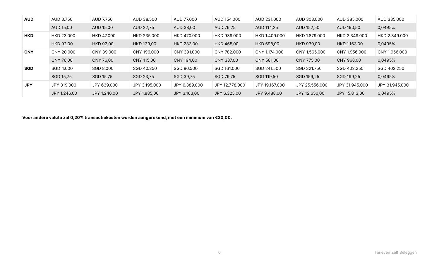| <b>AUD</b> | AUD 3.750        | AUD 7.750        | AUD 38.500        | AUD 77,000    | AUD 154.000    | AUD 231.000    | AUD 308,000    | AUD 385,000    | AUD 385,000    |
|------------|------------------|------------------|-------------------|---------------|----------------|----------------|----------------|----------------|----------------|
|            | AUD 15,00        | AUD 15,00        | AUD 22.75         | AUD 38,00     | AUD 76,25      | AUD 114.25     | AUD 152,50     | AUD 190,50     | 0,0495%        |
| <b>HKD</b> | HKD 23,000       | HKD 47.000       | HKD 235,000       | HKD 470,000   | HKD 939.000    | HKD 1.409.000  | HKD 1.879.000  | HKD 2.349.000  | HKD 2.349.000  |
|            | <b>HKD 92.00</b> | <b>HKD 92,00</b> | <b>HKD 139.00</b> | HKD 233.00    | HKD 465,00     | HKD 698,00     | HKD 930,00     | HKD 1.163.00   | 0,0495%        |
| <b>CNY</b> | CNY 20.000       | CNY 39,000       | CNY 196,000       | CNY 391,000   | CNY 782,000    | CNY 1.174,000  | CNY 1.565.000  | CNY 1.956.000  | CNY 1.956.000  |
|            | CNY 76.00        | CNY 76.00        | CNY 115.00        | CNY 194,00    | CNY 387.00     | CNY 581,00     | CNY 775.00     | CNY 968.00     | 0,0495%        |
| <b>SGD</b> | SGD 4.000        | SGD 8.000        | SGD 40.250        | SGD 80.500    | SGD 161,000    | SGD 241.500    | SGD 321.750    | SGD 402.250    | SGD 402.250    |
|            | SGD 15,75        | SGD 15,75        | SGD 23,75         | SGD 39,75     | SGD 79,75      | SGD 119,50     | SGD 159,25     | SGD 199,25     | 0,0495%        |
| <b>JPY</b> | JPY 319,000      | JPY 639,000      | JPY 3.195.000     | JPY 6.389.000 | JPY 12.778.000 | JPY 19.167.000 | JPY 25.556.000 | JPY 31.945.000 | JPY 31.945.000 |
|            | JPY 1.246.00     | JPY 1.246.00     | JPY 1.885.00      | JPY 3.163.00  | JPY 6.325.00   | JPY 9.488.00   | JPY 12.650.00  | JPY 15.813.00  | 0,0495%        |

Voor andere valuta zal 0,20% transactiekosten worden aangerekend, met een minimum van €20,00.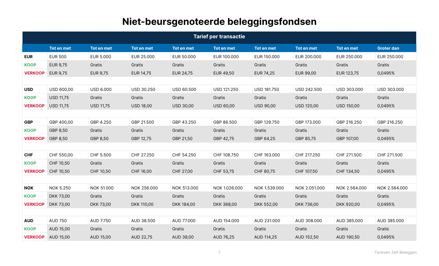# Niet-beursgenoteerde beleggingsfondsen

|                |                  |                   |                  |                   | <b>Tarief per transactie</b> |                   |                   |                   |                   |
|----------------|------------------|-------------------|------------------|-------------------|------------------------------|-------------------|-------------------|-------------------|-------------------|
|                | Tot en met       | <b>Tot en met</b> | Tot en met       | <b>Tot en met</b> | <b>Tot en met</b>            | <b>Tot en met</b> | <b>Tot en met</b> | <b>Tot en met</b> | <b>Groter dan</b> |
| <b>EUR</b>     | <b>EUR 500</b>   | <b>EUR 5.000</b>  | EUR 25.000       | EUR 50,000        | EUR 100,000                  | EUR 150,000       | EUR 200.000       | EUR 250,000       | EUR 250.000       |
| <b>KOOP</b>    | <b>EUR 9,75</b>  | Gratis            | Gratis           | Gratis            | Gratis                       | Gratis            | Gratis            | Gratis            | Gratis            |
| <b>VERKOOP</b> | <b>EUR 9,75</b>  | EUR 9,75          | EUR 14,75        | EUR 24,75         | EUR 49,50                    | EUR 74,25         | EUR 99,00         | EUR 123,75        | 0,0495%           |
|                |                  |                   |                  |                   |                              |                   |                   |                   |                   |
| <b>USD</b>     | USD 600,00       | <b>USD 6.000</b>  | USD 30.250       | USD 60.500        | USD 121.250                  | USD 181.750       | USD 242.500       | USD 303.000       | USD 303.000       |
| <b>KOOP</b>    | <b>USD 11,75</b> | Gratis            | Gratis           | Gratis            | Gratis                       | Gratis            | Gratis            | Gratis            | Gratis            |
| <b>VERKOOP</b> | <b>USD 11,75</b> | <b>USD 11,75</b>  | <b>USD 18,00</b> | <b>USD 30,00</b>  | <b>USD 60,00</b>             | <b>USD 90,00</b>  | <b>USD 120,00</b> | <b>USD 150,00</b> | 0,0495%           |
|                |                  |                   |                  |                   |                              |                   |                   |                   |                   |
| <b>GBP</b>     | GBP 400,00       | GBP 4.250         | GBP 21.500       | GBP 43.250        | GBP 86.500                   | GBP 129.750       | GBP 173.000       | GBP 216.250       | GBP 216.250       |
| <b>KOOP</b>    | GBP 8,50         | Gratis            | Gratis           | Gratis            | Gratis                       | Gratis            | Gratis            | Gratis            | Gratis            |
| <b>VERKOOP</b> | GBP 8,50         | GBP 8,50          | GBP 12,75        | GBP 21,50         | GBP 42,75                    | GBP 64,25         | GBP 85,75         | GBP 107,00        | 0,0495%           |
|                |                  |                   |                  |                   |                              |                   |                   |                   |                   |
| <b>CHF</b>     | CHF 550,00       | CHF 5.500         | CHF 27.250       | CHF 54.250        | CHF 108.750                  | CHF 163.000       | CHF 217.250       | CHF 271.500       | CHF 271.500       |
| <b>KOOP</b>    | CHF 10,50        | Gratis            | Gratis           | Gratis            | Gratis                       | Gratis            | Gratis            | Gratis            | Gratis            |
| <b>VERKOOP</b> | CHF 10,50        | CHF 10,50         | CHF 16,00        | CHF 27,00         | CHF 53,75                    | CHF 80,75         | CHF 107,50        | CHF 134,50        | 0,0495%           |
|                |                  |                   |                  |                   |                              |                   |                   |                   |                   |
| <b>NOK</b>     | <b>NOK 5.250</b> | NOK 51.000        | NOK 256.000      | NOK 513,000       | NOK 1.026.000                | NOK 1.539.000     | NOK 2.051.000     | NOK 2.564.000     | NOK 2.564.000     |
| <b>KOOP</b>    | DKK 73,00        | Gratis            | Gratis           | Gratis            | Gratis                       | Gratis            | Gratis            | Gratis            | Gratis            |
| <b>VERKOOP</b> | DKK 73,00        | DKK 73,00         | DKK 110,00       | DKK 184,00        | DKK 368,00                   | DKK 552,00        | DKK 736,00        | DKK 920,00        | 0,0495%           |
|                |                  |                   |                  |                   |                              |                   |                   |                   |                   |
| <b>AUD</b>     | <b>AUD 750</b>   | AUD 7.750         | AUD 38.500       | AUD 77.000        | AUD 154.000                  | AUD 231.000       | AUD 308.000       | AUD 385.000       | AUD 385.000       |
| <b>KOOP</b>    | AUD 15,00        | Gratis            | Gratis           | Gratis            | Gratis                       | Gratis            | Gratis            | Gratis            | Gratis            |
| <b>VERKOOP</b> | AUD 15,00        | <b>AUD 15,00</b>  | AUD 22,75        | AUD 38,00         | AUD 76,25                    | AUD 114,25        | AUD 152,50        | AUD 190,50        | 0,0495%           |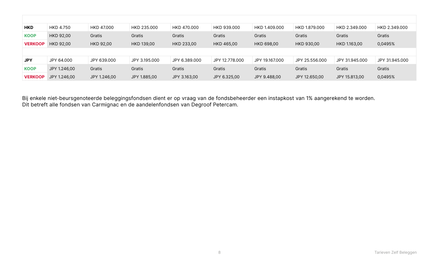| <b>HKD</b>     | HKD 4.750        | HKD 47.000   | HKD 235.000       | HKD 470,000   | HKD 939.000    | HKD 1.409.000  | HKD 1.879.000     | HKD 2.349.000  | HKD 2.349.000  |
|----------------|------------------|--------------|-------------------|---------------|----------------|----------------|-------------------|----------------|----------------|
| <b>KOOP</b>    | HKD 92,00        | Gratis       | Gratis            | Gratis        | Gratis         | Gratis         | Gratis            | Gratis         | Gratis         |
| <b>VERKOOP</b> | <b>HKD 92.00</b> | HKD 92,00    | <b>HKD 139.00</b> | HKD 233.00    | HKD 465.00     | HKD 698.00     | <b>HKD 930.00</b> | HKD 1.163.00   | 0,0495%        |
|                |                  |              |                   |               |                |                |                   |                |                |
| <b>JPY</b>     | JPY 64.000       | JPY 639,000  | JPY 3.195.000     | JPY 6.389.000 | JPY 12.778.000 | JPY 19.167.000 | JPY 25.556.000    | JPY 31.945.000 | JPY 31.945.000 |
| <b>KOOP</b>    | JPY 1.246.00     | Gratis       | Gratis            | Gratis        | Gratis         | Gratis         | Gratis            | Gratis         | Gratis         |
| <b>VERKOOP</b> | JPY 1.246,00     | JPY 1.246,00 | JPY 1.885,00      | JPY 3.163,00  | JPY 6.325,00   | JPY 9.488,00   | JPY 12.650,00     | JPY 15.813,00  | 0,0495%        |

Bij enkele niet-beursgenoteerde beleggingsfondsen dient er op vraag van de fondsbeheerder een instapkost van 1% aangerekend te worden. Dit betreft alle fondsen van Carmignac en de aandelenfondsen van Degroof Petercam.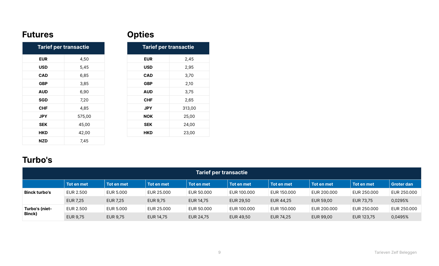## Futures

## **Opties**

| <b>Tarief per transactie</b> |        |  |  |  |  |  |
|------------------------------|--------|--|--|--|--|--|
| <b>EUR</b>                   | 4,50   |  |  |  |  |  |
| USD                          | 5,45   |  |  |  |  |  |
| <b>CAD</b>                   | 6,85   |  |  |  |  |  |
| <b>GBP</b>                   | 3,85   |  |  |  |  |  |
| <b>AUD</b>                   | 6,90   |  |  |  |  |  |
| <b>SGD</b>                   | 7,20   |  |  |  |  |  |
| CHF                          | 4,85   |  |  |  |  |  |
| JPY                          | 575,00 |  |  |  |  |  |
| <b>SEK</b>                   | 45,00  |  |  |  |  |  |
| HKD                          | 42,00  |  |  |  |  |  |
| <b>NZD</b>                   | 7,45   |  |  |  |  |  |

| <b>Tarief per transactie</b> |        |  |  |  |  |
|------------------------------|--------|--|--|--|--|
| <b>EUR</b>                   | 2,45   |  |  |  |  |
| USD                          | 2,95   |  |  |  |  |
| CAD                          | 3,70   |  |  |  |  |
| <b>GBP</b>                   | 2,10   |  |  |  |  |
| <b>AUD</b>                   | 3,75   |  |  |  |  |
| CHF                          | 2,65   |  |  |  |  |
| JPY                          | 313,00 |  |  |  |  |
| NOK                          | 25,00  |  |  |  |  |
| <b>SEK</b>                   | 24,00  |  |  |  |  |
| HKD                          | 23,00  |  |  |  |  |

## Turbo's

| <b>Tarief per transactie</b> |                 |                 |                 |            |             |             |             |             |                   |
|------------------------------|-----------------|-----------------|-----------------|------------|-------------|-------------|-------------|-------------|-------------------|
|                              | Tot en met      | Tot en met      | Tot en met      | Tot en met | Tot en met  | Tot en met  | Tot en met  | Tot en met  | <b>Groter dan</b> |
| <b>Binck turbo's</b>         | EUR 2.500       | EUR 5.000       | EUR 25.000      | EUR 50.000 | EUR 100,000 | EUR 150,000 | EUR 200,000 | EUR 250.000 | EUR 250,000       |
|                              | <b>EUR 7,25</b> | <b>EUR 7,25</b> | <b>EUR 9,75</b> | EUR 14,75  | EUR 29,50   | EUR 44,25   | EUR 59,00   | EUR 73,75   | 0,0295%           |
| Turbo's (niet-               | EUR 2.500       | EUR 5.000       | EUR 25,000      | EUR 50.000 | EUR 100,000 | EUR 150,000 | EUR 200,000 | EUR 250,000 | EUR 250,000       |
| Binck)                       | <b>EUR 9,75</b> | EUR 9,75        | EUR 14,75       | EUR 24,75  | EUR 49,50   | EUR 74,25   | EUR 99,00   | EUR 123,75  | 0,0495%           |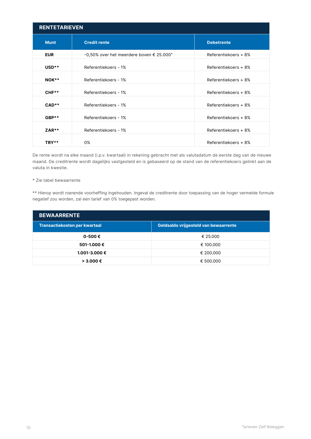| <b>RENTETARIEVEN</b> |                                                                  |                      |  |  |  |  |  |
|----------------------|------------------------------------------------------------------|----------------------|--|--|--|--|--|
| <b>Munt</b>          | <b>Credit rente</b>                                              | <b>Debetrente</b>    |  |  |  |  |  |
| <b>EUR</b>           | $-0.50\%$ over het meerdere boven $\epsilon$ 25.000 <sup>*</sup> | Referentiekoers + 8% |  |  |  |  |  |
| $USD**$              | Referentiekoers - 1%                                             | Referentiekoers + 8% |  |  |  |  |  |
| NOK**                | Referentiekoers - 1%                                             | Referentiekoers + 8% |  |  |  |  |  |
| $CHF**$              | Referentiekoers - 1%                                             | Referentiekoers + 8% |  |  |  |  |  |
| $CAD**$              | Referentiekoers - 1%                                             | Referentiekoers + 8% |  |  |  |  |  |
| GBP**                | Referentiekoers - 1%                                             | Referentiekoers + 8% |  |  |  |  |  |
| $ZAR**$              | Referentiekoers - 1%                                             | Referentiekoers + 8% |  |  |  |  |  |
| TRY**                | 0%                                                               | Referentiekoers + 8% |  |  |  |  |  |

De rente wordt na elke maand (i.p.v. kwartaal) in rekening gebracht met als valutadatum de eerste dag van de nieuwe maand. De creditrente wordt dagelijks vastgesteld en is gebaseerd op de stand van de referentiekoers gelinkt aan de valuta in kwestie.

#### \* Zie tabel bewaarrente

\*\* Hierop wordt roerende voorheffing ingehouden. Ingeval de creditrente door toepassing van de hoger vermelde formule negatief zou worden, zal een tarief van 0% toegepast worden.

| <b>BEWAARRENTE</b>            |                                       |  |  |  |  |  |
|-------------------------------|---------------------------------------|--|--|--|--|--|
| Transactiekosten per kwartaal | Geldsaldo vrijgesteld van bewaarrente |  |  |  |  |  |
| 0-500€                        | € 25.000                              |  |  |  |  |  |
| 501-1.000€                    | € 100.000                             |  |  |  |  |  |
| 1.001-3.000 €                 | € 200.000                             |  |  |  |  |  |
| $> 3.000 \in$                 | € 500.000                             |  |  |  |  |  |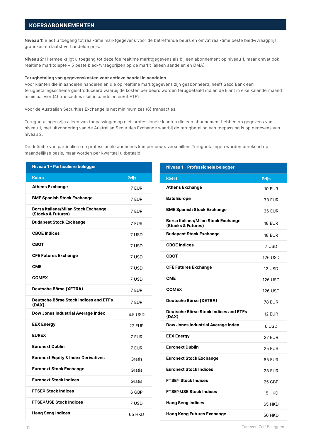#### KOERSABONNEMENTEN

Niveau 1: Biedt u toegang tot real-time marktgegevens voor de betreffende beurs en omvat real-time beste bied-/vraagprijs, grafieken en laatst verhandelde prijs.

Niveau 2: Hiermee krijgt u toegang tot dezelfde realtime marktgegevens als bij een abonnement op niveau 1, maar omvat ook realtime marktdiepte – 5 beste bied-/vraagprijzen op de markt (alleen aandelen en DMA).

#### Terugbetaling van gegevenskosten voor actieve handel in aandelen

Voor klanten die in aandelen handelen en die op realtime marktgegevens zijn geabonneerd, heeft Saxo Bank een terugbetalingsschema geïntroduceerd waarbij de kosten per beurs worden terugbetaald indien de klant in elke kalendermaand minimaal vier (4) transacties sluit in aandelen en/of ETF's.

Voor de Australian Securities Exchange is het minimum zes (6) transacties.

Terugbetalingen zijn alleen van toepassingen op niet-professionele klanten die een abonnement hebben op gegevens van niveau 1, met uitzondering van de Australian Securities Exchange waarbij de terugbetaling van toepassing is op gegevens van niveau 2.

De definitie van particuliere en professionele abonnees kan per beurs verschillen. Terugbetalingen worden berekend op maandelijkse basis, maar worden per kwartaal uitbetaald.

| Niveau 1 - Particuliere belegger                                 |               | Niveau 1 - Professionele belegger                                |                |
|------------------------------------------------------------------|---------------|------------------------------------------------------------------|----------------|
| <b>Koers</b>                                                     | <b>Prijs</b>  | koers                                                            | <b>Prijs</b>   |
| <b>Athens Exchange</b>                                           | 7 EUR         | <b>Athens Exchange</b>                                           | <b>10 EUR</b>  |
| <b>BME Spanish Stock Exchange</b>                                | 7 EUR         | <b>Bats Europe</b>                                               | <b>33 EUR</b>  |
| <b>Borsa Italiana/Milan Stock Exchange</b><br>(Stocks & Futures) | 7 EUR         | <b>BME Spanish Stock Exchange</b>                                | <b>36 EUR</b>  |
| <b>Budapest Stock Exchange</b>                                   | 7 EUR         | <b>Borsa Italiana/Milan Stock Exchange</b><br>(Stocks & Futures) | <b>18 EUR</b>  |
| <b>CBOE Indices</b>                                              | 7 USD         | <b>Budapest Stock Exchange</b>                                   | <b>18 EUR</b>  |
| <b>CBOT</b>                                                      | 7 USD         | <b>CBOE Indices</b>                                              | 7 USD          |
| <b>CFE Futures Exchange</b>                                      | 7 USD         | <b>CBOT</b>                                                      | <b>126 USD</b> |
| <b>CME</b>                                                       | 7 USD         | <b>CFE Futures Exchange</b>                                      | 12 USD         |
| <b>COMEX</b>                                                     | 7 USD         | <b>CME</b>                                                       | <b>126 USD</b> |
| Deutsche Börse (XETRA)                                           | 7 EUR         | <b>COMEX</b>                                                     | <b>126 USD</b> |
| <b>Deutsche Börse Stock Indices and ETFs</b><br>(DAX)            | 7 EUR         | Deutsche Börse (XETRA)                                           | <b>78 EUR</b>  |
| Dow Jones Industrial Average Index                               | 4.5 USD       | Deutsche Börse Stock Indices and ETFs<br>(DAX)                   | <b>12 EUR</b>  |
| <b>EEX Energy</b>                                                | <b>27 EUR</b> | Dow Jones Industrial Average Index                               | 6 USD          |
| <b>EUREX</b>                                                     | 7 EUR         | <b>EEX Energy</b>                                                | <b>27 EUR</b>  |
| <b>Euronext Dublin</b>                                           | 7 EUR         | <b>Euronext Dublin</b>                                           | <b>25 EUR</b>  |
| <b>Euronext Equity &amp; Index Derivatives</b>                   | Gratis        | <b>Euronext Stock Exchange</b>                                   | <b>85 EUR</b>  |
| <b>Euronext Stock Exchange</b>                                   | Gratis        | <b>Euronext Stock Indices</b>                                    | <b>23 EUR</b>  |
| <b>Euronext Stock Indices</b>                                    | Gratis        | <b>FTSE<sup>®</sup> Stock Indices</b>                            | 25 GBP         |
| <b>FTSE<sup>®</sup> Stock Indices</b>                            | 6 GBP         | <b>FTSE<sup>®</sup>/JSE Stock Indices</b>                        | 15 HKD         |
| <b>FTSE®/JSE Stock Indices</b>                                   | 7 USD         | <b>Hang Seng Indices</b>                                         | 65 HKD         |
| <b>Hang Seng Indices</b>                                         | 65 HKD        | <b>Hong Kong Futures Exchange</b>                                | <b>56 HKD</b>  |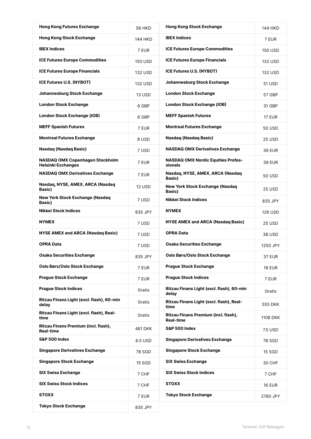| <b>Hong Kong Futures Exchange</b>                                   | <b>56 HKD</b>  | <b>Hong Kong Stock Exchange</b>                          | 144 HKD        |
|---------------------------------------------------------------------|----------------|----------------------------------------------------------|----------------|
| <b>Hong Kong Stock Exchange</b>                                     | 144 HKD        | <b>IBEX Indices</b>                                      | 7 EUR          |
| <b>IBEX Indices</b>                                                 | 7 EUR          | <b>ICE Futures Europe Commodities</b>                    | <b>150 USD</b> |
| <b>ICE Futures Europe Commodities</b>                               | <b>150 USD</b> | <b>ICE Futures Europe Financials</b>                     | 132 USD        |
| <b>ICE Futures Europe Financials</b>                                | 132 USD        | <b>ICE Futures U.S. (NYBOT)</b>                          | 132 USD        |
| <b>ICE Futures U.S. (NYBOT)</b>                                     | 132 USD        | Johannesburg Stock Exchange                              | 51 USD         |
| Johannesburg Stock Exchange                                         | <b>13 USD</b>  | <b>London Stock Exchange</b>                             | 57 GBP         |
| <b>London Stock Exchange</b>                                        | 6 GBP          | <b>London Stock Exchange (IOB)</b>                       | 31 GBP         |
| <b>London Stock Exchange (IOB)</b>                                  | 6 GBP          | <b>MEFF Spanish Futures</b>                              | <b>17 EUR</b>  |
| <b>MEFF Spanish Futures</b>                                         | 7 EUR          | <b>Montreal Futures Exchange</b>                         | 50 USD         |
| <b>Montreal Futures Exchange</b>                                    | 8 USD          | <b>Nasdaq (Nasdaq Basic)</b>                             | 25 USD         |
| <b>Nasdaq (Nasdaq Basic)</b>                                        | 7 USD          | <b>NASDAQ OMX Derivatives Exchange</b>                   | <b>39 EUR</b>  |
| <b>NASDAQ OMX Copenhagen Stockholm</b><br><b>Helsinki Exchanges</b> | 7 EUR          | <b>NASDAQ OMX Nordic Equities Profes-</b><br>sionals     | 39 EUR         |
| <b>NASDAQ OMX Derivatives Exchange</b>                              | 7 EUR          | Nasdaq, NYSE, AMEX, ARCA (Nasdaq<br>Basic)               | 50 USD         |
| Nasdaq, NYSE, AMEX, ARCA (Nasdaq<br><b>Basic</b> )                  | <b>12 USD</b>  | <b>New York Stock Exchange (Nasdaq</b><br>Basic)         | 25 USD         |
| <b>New York Stock Exchange (Nasdaq</b><br><b>Basic)</b>             | 7 USD          | <b>Nikkei Stock Indices</b>                              | 835 JPY        |
| Nikkei Stock Indices                                                | 835 JPY        | <b>NYMEX</b>                                             | 126 USD        |
| <b>NYMEX</b>                                                        | 7 USD          | <b>NYSE AMEX and ARCA (Nasdaq Basic)</b>                 | 25 USD         |
| <b>NYSE AMEX and ARCA (Nasdag Basic)</b>                            | 7 USD          | <b>OPRA Data</b>                                         | 38 USD         |
| <b>OPRA Data</b>                                                    | 7 USD          | <b>Osaka Securities Exchange</b>                         | 1250 JPY       |
| Osaka Securities Exchange                                           | 835 JPY        | Oslo Børs/Oslo Stock Exchange                            | <b>37 EUR</b>  |
| Oslo Børs/Oslo Stock Exchange                                       | 7 EUR          | <b>Prague Stock Exchange</b>                             | <b>18 EUR</b>  |
| <b>Prague Stock Exchange</b>                                        | 7 EUR          | <b>Praque Stock Indices</b>                              | 7 EUR          |
| <b>Praque Stock Indices</b>                                         | Gratis         | Ritzau Finans Light (excl. flash), 60-min<br>delay       | Gratis         |
| Ritzau Finans Light (excl. flash), 60-min<br>delay                  | Gratis         | Ritzau Finans Light (excl. flash), Real-<br>time         | 555 DKK        |
| Ritzau Finans Light (excl. flash), Real-<br>time                    | Gratis         | Ritzau Finans Premium (incl. flash),<br><b>Real-time</b> | 1108 DKK       |
| Ritzau Finans Premium (incl. flash),<br><b>Real-time</b>            | 461 DKK        | <b>S&amp;P 500 Index</b>                                 | 7.5 USD        |
| <b>S&amp;P 500 Index</b>                                            | 6.5 USD        | <b>Singapore Derivatives Exchange</b>                    | 78 SGD         |
| <b>Singapore Derivatives Exchange</b>                               | 78 SGD         | <b>Singapore Stock Exchange</b>                          | 15 SGD         |
| <b>Singapore Stock Exchange</b>                                     | 15 SGD         | <b>SIX Swiss Exchange</b>                                | 30 CHF         |
| <b>SIX Swiss Exchange</b>                                           | 7 CHF          | <b>SIX Swiss Stock Indices</b>                           | 7 CHF          |
| <b>SIX Swiss Stock Indices</b>                                      | 7 CHF          | <b>STOXX</b>                                             | <b>16 EUR</b>  |
| <b>STOXX</b>                                                        | 7 EUR          | <b>Tokyo Stock Exchange</b>                              | 2760 JPY       |
| <b>Tokyo Stock Exchange</b>                                         | 835 JPY        |                                                          |                |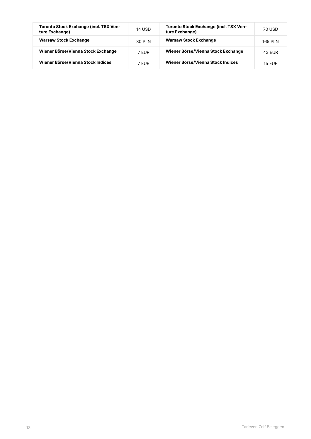| <b>Toronto Stock Exchange (incl. TSX Ven-</b><br>ture Exchange) | 14 USD | <b>Toronto Stock Exchange (incl. TSX Ven-</b><br>ture Exchange) | 70 USD        |
|-----------------------------------------------------------------|--------|-----------------------------------------------------------------|---------------|
| <b>Warsaw Stock Exchange</b>                                    | 30 PLN | <b>Warsaw Stock Exchange</b>                                    | 165 PLN       |
| Wiener Börse/Vienna Stock Exchange                              | 7 FUR  | Wiener Börse/Vienna Stock Exchange                              | 43 FUR        |
| Wiener Börse/Vienna Stock Indices                               | 7 FUR  | Wiener Börse/Vienna Stock Indices                               | <b>15 FUR</b> |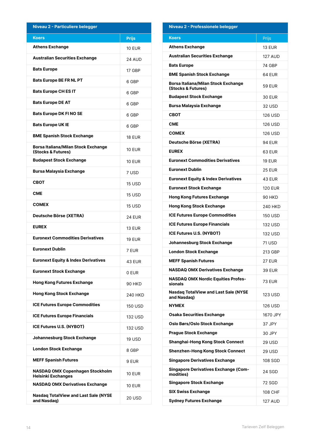| Niveau 2 - Particuliere belegger                                 |               |
|------------------------------------------------------------------|---------------|
| <b>Koers</b>                                                     | <b>Prijs</b>  |
| <b>Athens Exchange</b>                                           | 10 EUR        |
| <b>Australian Securities Exchange</b>                            | <b>24 AUD</b> |
| <b>Bats Europe</b>                                               | 17 GBP        |
| <b>Bats Europe BE FR NL PT</b>                                   | 6 GBP         |
| <b>Bats Europe CH ES IT</b>                                      | 6 GBP         |
| <b>Bats Europe DE AT</b>                                         | 6 GBP         |
| <b>Bats Europe DK FI NO SE</b>                                   | 6 GBP         |
| <b>Bats Europe UK IE</b>                                         | 6 GBP         |
| <b>BME Spanish Stock Exchange</b>                                | 18 EUR        |
| <b>Borsa Italiana/Milan Stock Exchange</b><br>(Stocks & Futures) | 10 FUR        |
| <b>Budapest Stock Exchange</b>                                   | 10 EUR        |
| <b>Bursa Malaysia Exchange</b>                                   | 7 USD         |
| <b>CBOT</b>                                                      | 15 USD        |
| <b>CME</b>                                                       | 15 USD        |
| <b>COMEX</b>                                                     | 15 USD        |
| Deutsche Börse (XETRA)                                           | 24 EUR        |
| <b>EUREX</b>                                                     | 13 EUR        |
| <b>Euronext Commodities Derivatives</b>                          | <b>19 FUR</b> |
| <b>Furonext Dublin</b>                                           | 7 EUR         |
| <b>Euronext Equity &amp; Index Derivatives</b>                   | 43 EUR        |
| <b>Euronext Stock Exchange</b>                                   | 0 EUR         |
| <b>Hong Kong Futures Exchange</b>                                | 90 HKD        |
| <b>Hong Kong Stock Exchange</b>                                  | 240 HKD       |
| <b>ICE Futures Europe Commodities</b>                            | 150 USD       |
| <b>ICE Futures Europe Financials</b>                             | 132 USD       |
| <b>ICE Futures U.S. (NYBOT)</b>                                  | 132 USD       |
| <b>Johannesburg Stock Exchange</b>                               | 19 USD        |
| <b>London Stock Exchange</b>                                     | 8 GBP         |
| <b>MEFF Spanish Futures</b>                                      | 9 EUR         |
| NASDAQ OMX Copenhagen Stockholm<br><b>Helsinki Exchanges</b>     | 10 EUR        |
| <b>NASDAQ OMX Derivatives Exchange</b>                           | 10 EUR        |
| <b>Nasdaq TotalView and Last Sale (NYSE</b><br>and Nasdaq)       | 20 USD        |

## 14 Tarieven Zelf Beleggen

| Niveau 2 - Professionele belegger                                |                |
|------------------------------------------------------------------|----------------|
| <b>Koers</b>                                                     | <b>Prijs</b>   |
| <b>Athens Exchange</b>                                           | <b>13 EUR</b>  |
| <b>Australian Securities Exchange</b>                            | 127 AUD        |
| <b>Bats Europe</b>                                               | 74 GBP         |
| <b>BME Spanish Stock Exchange</b>                                | 64 EUR         |
| <b>Borsa Italiana/Milan Stock Exchange</b><br>(Stocks & Futures) | <b>59 EUR</b>  |
| <b>Budapest Stock Exchange</b>                                   | 30 EUR         |
| <b>Bursa Malaysia Exchange</b>                                   | 32 USD         |
| CROT                                                             | 126 USD        |
| <b>CME</b>                                                       | 126 USD        |
| <b>COMEX</b>                                                     | 126 USD        |
| Deutsche Börse (XETRA)                                           | 94 EUR         |
| <b>EUREX</b>                                                     | 63 EUR         |
| <b>Euronext Commodities Derivatives</b>                          | <b>19 EUR</b>  |
| <b>Euronext Dublin</b>                                           | <b>25 EUR</b>  |
| <b>Euronext Equity &amp; Index Derivatives</b>                   | 43 EUR         |
| <b>Euronext Stock Exchange</b>                                   | <b>120 EUR</b> |
| <b>Hong Kong Futures Exchange</b>                                | 90 HKD         |
| <b>Hong Kong Stock Exchange</b>                                  | 240 HKD        |
| <b>ICE Futures Europe Commodities</b>                            | 150 USD        |
| <b>ICE Futures Europe Financials</b>                             | 132 USD        |
| <b>ICE Futures U.S. (NYBOT)</b>                                  | 132 USD        |
| Johannesburg Stock Exchange                                      | 71 USD         |
| London Stock Exchange                                            | 213 GBP        |
| <b>MEFF Spanish Futures</b>                                      | <b>27 EUR</b>  |
| <b>NASDAQ OMX Derivatives Exchange</b>                           | <b>39 EUR</b>  |
| <b>NASDAQ OMX Nordic Equities Profes-</b><br>sionals             | <b>73 EUR</b>  |
| <b>Nasdaq TotalView and Last Sale (NYSE</b><br>and Nasdag)       | 123 USD        |
| <b>NYMEX</b>                                                     | 126 USD        |
| <b>Osaka Securities Exchange</b>                                 | 1670 JPY       |
| Oslo Børs/Oslo Stock Exchange                                    | 37 JPY         |
| <b>Prague Stock Exchange</b>                                     | 30 JPY         |
| <b>Shanghai-Hong Kong Stock Connect</b>                          | 29 USD         |
| <b>Shenzhen-Hong Kong Stock Connect</b>                          | 29 USD         |
| <b>Singapore Derivatives Exchange</b>                            | 108 SGD        |
| <b>Singapore Derivatives Exchange (Com-</b><br>modities)         | 24 SGD         |
| <b>Singapore Stock Exchange</b>                                  | 72 SGD         |

SIX Swiss Exchange 108 CHF Sydney Futures Exchange 127 AUD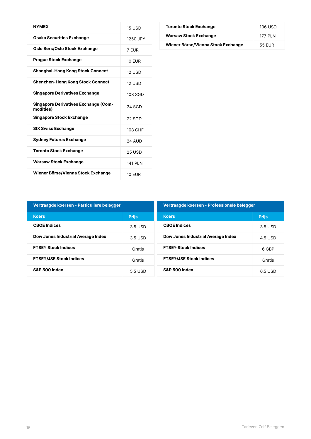| <b>NYMEX</b>                                             | <b>15 USD</b>  |
|----------------------------------------------------------|----------------|
| <b>Osaka Securities Exchange</b>                         | 1250 JPY       |
| Oslo Børs/Oslo Stock Exchange                            | 7 FUR          |
| <b>Praque Stock Exchange</b>                             | 10 FUR         |
| <b>Shanghai-Hong Kong Stock Connect</b>                  | <b>12 USD</b>  |
| <b>Shenzhen-Hong Kong Stock Connect</b>                  | <b>12 USD</b>  |
| <b>Singapore Derivatives Exchange</b>                    | 108 SGD        |
| <b>Singapore Derivatives Exchange (Com-</b><br>modities) | 24 SGD         |
| <b>Singapore Stock Exchange</b>                          | 72 SGD         |
| <b>SIX Swiss Exchange</b>                                | 108 CHF        |
| <b>Sydney Futures Exchange</b>                           | <b>24 AUD</b>  |
| <b>Toronto Stock Exchange</b>                            | 25 USD         |
| <b>Warsaw Stock Exchange</b>                             | <b>141 PLN</b> |
| Wiener Börse/Vienna Stock Exchange                       | 10 FUR         |

| <b>Toronto Stock Exchange</b>      | 106 USD  |
|------------------------------------|----------|
| <b>Warsaw Stock Exchange</b>       | 177 PI N |
| Wiener Börse/Vienna Stock Exchange | 55 FUR   |

| Vertraagde koersen - Particuliere belegger |              | Vertraagde koersen - Professionele belegger |         |
|--------------------------------------------|--------------|---------------------------------------------|---------|
| <b>Koers</b>                               | <b>Prijs</b> | <b>Koers</b><br><b>Prijs</b>                |         |
| <b>CBOE</b> Indices                        | 3.5 USD      | <b>CBOE</b> Indices                         | 3.5 USD |
| Dow Jones Industrial Average Index         | 3.5 USD      | Dow Jones Industrial Average Index          | 4.5 USD |
| <b>FTSE<sup>®</sup> Stock Indices</b>      | Gratis       | <b>FTSE<sup>®</sup> Stock Indices</b>       | 6 GBP   |
| <b>FTSE<sup>®</sup>/JSE Stock Indices</b>  | Gratis       | <b>FTSE<sup>®</sup>/JSE Stock Indices</b>   | Gratis  |
| <b>S&amp;P 500 Index</b>                   | 5.5 USD      | <b>S&amp;P 500 Index</b>                    | 6.5 USD |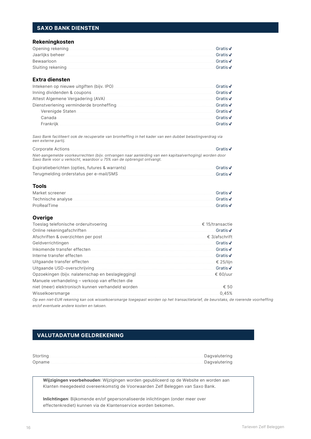## **SAXO BANK DIENSTEN**

#### Rekeningkosten

| Opening rekening.                                                                                                     | Gratis $\checkmark$ |
|-----------------------------------------------------------------------------------------------------------------------|---------------------|
| Jaarlijks beheer <b>met als een als een als een als een als een</b> als een als een als een als een als een als een a | Gratis $\checkmark$ |
| Bewaarloon                                                                                                            | Gratis $\checkmark$ |
| Sluiting rekening                                                                                                     | Gratis $\checkmark$ |

### **Extra diensten**

|        | Gratis $\checkmark$ |
|--------|---------------------|
|        | Gratis $\checkmark$ |
|        | Gratis √            |
|        | Gratis $\checkmark$ |
|        | Gratis $\checkmark$ |
| Canada | Gratis $\checkmark$ |
|        | Gratis $\sqrt$      |

Saxo Bank faciliteert ook de recuperatie van bronheffing in het kader van een dubbel belastingverdrag via een externe partij.

| Corporate Actions                                                                                                                                                               | Gratis $\checkmark$ |
|---------------------------------------------------------------------------------------------------------------------------------------------------------------------------------|---------------------|
| Niet-aangemelde voorkeurrechten (bijv. ontvangen naar aanleiding van een kapitaalverhoging) worden door<br>Saxo Bank voor u verkocht, waardoor u 75% van de opbrengst ontvangt. |                     |

| Expiratieberichten (opties, futures & warrants). | Gratis $\checkmark$ |
|--------------------------------------------------|---------------------|
| Terugmelding orderstatus per e-mail/SMS.         | Gratis $\checkmark$ |

#### **Tools**

|                    | Gratis $\checkmark$ |
|--------------------|---------------------|
| Technische analyse | Gratis $\checkmark$ |
| ProRealTime        | Gratis $\checkmark$ |

#### Overige

|                                                 | Gratis $\checkmark$    |
|-------------------------------------------------|------------------------|
|                                                 | $\epsilon$ 3/afschrift |
|                                                 | Gratis $\checkmark$    |
|                                                 | Gratis $\checkmark$    |
|                                                 | Gratis $\checkmark$    |
|                                                 | € 25/lijn              |
|                                                 | Gratis $\checkmark$    |
|                                                 | € 60/uur               |
| Manuele verhandeling – verkoop van effecten die |                        |
|                                                 | € 50                   |
|                                                 | 0,45%                  |

Op een niet-EUR rekening kan ook wisselkoersmarge toegepast worden op het transactietarief, de beurstaks, de roerende voorheffing en/of eventuele andere kosten en taksen.

## **VALUTADATUM GELDREKENING**

| Storting | . Dagvalutering |
|----------|-----------------|
| Opname.  | Dagvalutering   |

Wijzigingen voorbehouden: Wijzigingen worden gepubliceerd op de Website en worden aan Klanten meegedeeld overeenkomstig de Voorwaarden Zelf Beleggen van Saxo Bank.

Inlichtingen: Bijkomende en/of gepersonaliseerde inlichtingen (onder meer over effectenkrediet) kunnen via de Klantenservice worden bekomen.